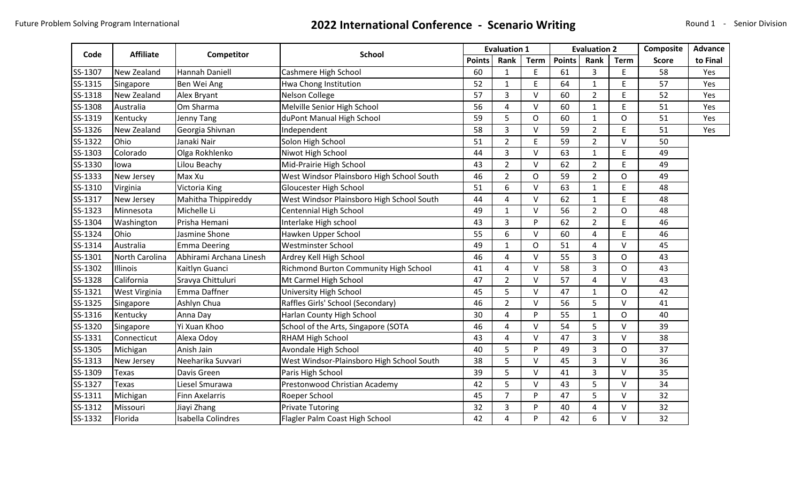## Future Problem Solving Program International **2022 International Conference - Scenario Writing** Round 1 - Senior Division

|         | <b>Affiliate</b> |                         | <b>School</b>                             |               | <b>Evaluation 1</b> |                | <b>Evaluation 2</b> |                |                | Composite    | <b>Advance</b> |
|---------|------------------|-------------------------|-------------------------------------------|---------------|---------------------|----------------|---------------------|----------------|----------------|--------------|----------------|
| Code    |                  | Competitor              |                                           | <b>Points</b> | Rank                | <b>Term</b>    | <b>Points</b>       | Rank           | <b>Term</b>    | <b>Score</b> | to Final       |
| SS-1307 | New Zealand      | Hannah Daniell          | Cashmere High School                      |               | $\mathbf{1}$        | $\mathsf E$    | 61                  | 3              | E              | 58           | Yes            |
| SS-1315 | Singapore        | Ben Wei Ang             | Hwa Chong Institution                     |               | $\mathbf{1}$        | E              | 64                  | $\mathbf{1}$   | E              | 57           | Yes            |
| SS-1318 | New Zealand      | Alex Bryant             | Nelson College                            | 57            | 3                   | V              | 60                  | $\overline{2}$ | E              | 52           | Yes            |
| SS-1308 | Australia        | <b>I</b> Om Sharma      | Melville Senior High School               | 56            | 4                   | V              | 60                  | $\mathbf{1}$   | E              | 51           | Yes            |
| SS-1319 | Kentucky         | Jenny Tang              | duPont Manual High School                 | 59            | 5                   | $\overline{O}$ | 60                  | $\mathbf{1}$   | O              | 51           | Yes            |
| SS-1326 | New Zealand      | Georgia Shivnan         | Independent                               | 58            | 3                   | V              | 59                  | $\overline{2}$ | E              | 51           | Yes            |
| SS-1322 | Ohio             | Janaki Nair             | Solon High School                         | 51            | $\overline{2}$      | E              | 59                  | $\overline{2}$ | V              | 50           |                |
| SS-1303 | Colorado         | Olga Rokhlenko          | Niwot High School                         | 44            | 3                   | V              | 63                  | $\mathbf{1}$   | E              | 49           |                |
| SS-1330 | lowa             | Lilou Beachy            | Mid-Prairie High School                   | 43            | $\overline{2}$      | $\vee$         | 62                  | $\overline{2}$ | E              | 49           |                |
| SS-1333 | New Jersey       | Max Xu                  | West Windsor Plainsboro High School South | 46            | $\overline{2}$      | $\mathsf{O}$   | 59                  | $\overline{2}$ | O              | 49           |                |
| SS-1310 | Virginia         | Victoria King           | Gloucester High School                    | 51            | 6                   | $\vee$         | 63                  | $\mathbf{1}$   | E              | 48           |                |
| SS-1317 | New Jersey       | Mahitha Thippireddy     | West Windsor Plainsboro High School South | 44            | 4                   | $\vee$         | 62                  | $\mathbf{1}$   | E              | 48           |                |
| SS-1323 | Minnesota        | Michelle Li             | Centennial High School                    | 49            | $\mathbf{1}$        | $\vee$         | 56                  | $\overline{2}$ | O              | 48           |                |
| SS-1304 | Washington       | Prisha Hemani           | Interlake High school                     | 43            | 3                   | P              | 62                  | $\overline{2}$ | E              | 46           |                |
| SS-1324 | Ohio             | Jasmine Shone           | Hawken Upper School                       | 55            | 6                   | $\vee$         | 60                  | 4              | E              | 46           |                |
| SS-1314 | Australia        | Emma Deering            | Westminster School                        | 49            | $\mathbf{1}$        | O              | 51                  | 4              | V              | 45           |                |
| SS-1301 | North Carolina   | Abhirami Archana Linesh | Ardrey Kell High School                   | 46            | 4                   | $\vee$         | 55                  | 3              | $\overline{O}$ | 43           |                |
| SS-1302 | Illinois         | Kaitlyn Guanci          | Richmond Burton Community High School     | 41            | 4                   | $\vee$         | 58                  | 3              | 0              | 43           |                |
| SS-1328 | California       | Sravya Chittuluri       | Mt Carmel High School                     | 47            | $\overline{2}$      | V              | 57                  | 4              | V              | 43           |                |
| SS-1321 | West Virginia    | Emma Daffner            | University High School                    | 45            | 5                   | $\vee$         | 47                  | $\mathbf{1}$   | O              | 42           |                |
| SS-1325 | Singapore        | Ashlyn Chua             | Raffles Girls' School (Secondary)         | 46            | $\overline{2}$      | V              | 56                  | 5              | $\vee$         | 41           |                |
| SS-1316 | Kentucky         | Anna Day                | Harlan County High School                 | 30            | 4                   | P              | 55                  | $\mathbf{1}$   | O              | 40           |                |
| SS-1320 | Singapore        | Yi Xuan Khoo            | School of the Arts, Singapore (SOTA       | 46            | 4                   | $\vee$         | 54                  | 5              | $\vee$         | 39           |                |
| SS-1331 | Connecticut      | Alexa Odoy              | RHAM High School                          | 43            | 4                   | V              | 47                  | 3              | $\vee$         | 38           |                |
| SS-1305 | Michigan         | Anish Jain              | Avondale High School                      | 40            | 5                   | P              | 49                  | 3              | O              | 37           |                |
| SS-1313 | New Jersey       | Neeharika Suvvari       | West Windsor-Plainsboro High School South | 38            | 5                   | V              | 45                  | 3              | V              | 36           |                |
| SS-1309 | <b>Texas</b>     | Davis Green             | Paris High School                         | 39            | 5                   | V              | 41                  | 3              | V              | 35           |                |
| SS-1327 | Texas            | Liesel Smurawa          | Prestonwood Christian Academy             | 42            | 5                   | $\vee$         | 43                  | 5              | V              | 34           |                |
| SS-1311 | Michigan         | <b>Finn Axelarris</b>   | Roeper School                             | 45            | $\overline{7}$      | P              | 47                  | 5              | V              | 32           |                |
| SS-1312 | Missouri         | Jiayi Zhang             | <b>Private Tutoring</b>                   | 32            | 3                   | P              | 40                  | 4              | $\vee$         | 32           |                |
| SS-1332 | Florida          | Isabella Colindres      | Flagler Palm Coast High School            | 42            | 4                   | P              | 42                  | 6              | $\vee$         | 32           |                |